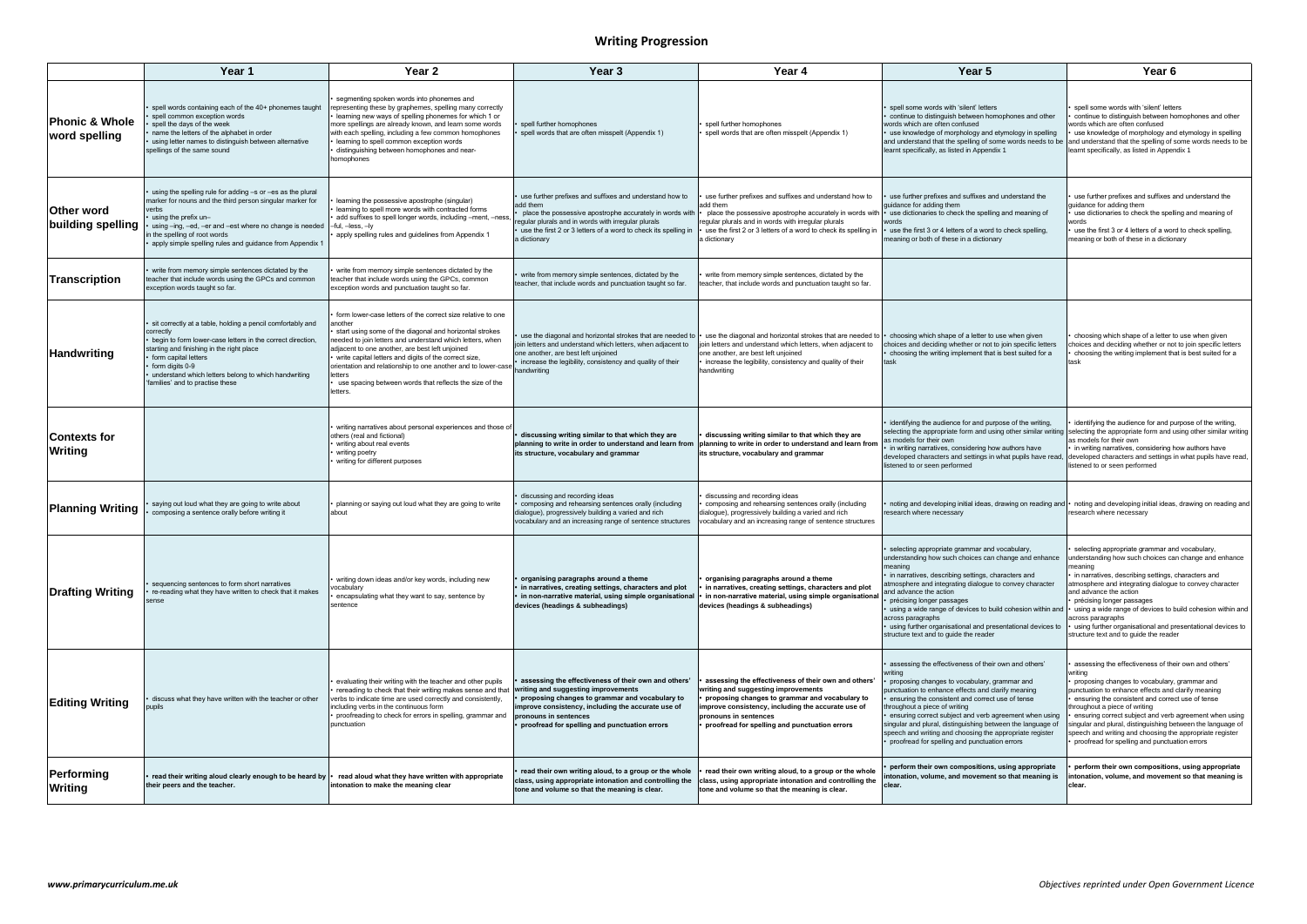## **Writing Progression**

|                                            | Year 1                                                                                                                                                                                                                                                                                                                   | Year <sub>2</sub>                                                                                                                                                                                                                                                                                                                                                                                                                                              | Year 3                                                                                                                                                                                                                                                                        | Year 4                                                                                                                                                                                                                                                                                                                              | Year 5                                                                                                                                                                                                                                                                                                                                                                                                                                                                                           | Year <sub>6</sub>                                                                                                                                                                                                                                                                                                                                                                                                                                                                                      |
|--------------------------------------------|--------------------------------------------------------------------------------------------------------------------------------------------------------------------------------------------------------------------------------------------------------------------------------------------------------------------------|----------------------------------------------------------------------------------------------------------------------------------------------------------------------------------------------------------------------------------------------------------------------------------------------------------------------------------------------------------------------------------------------------------------------------------------------------------------|-------------------------------------------------------------------------------------------------------------------------------------------------------------------------------------------------------------------------------------------------------------------------------|-------------------------------------------------------------------------------------------------------------------------------------------------------------------------------------------------------------------------------------------------------------------------------------------------------------------------------------|--------------------------------------------------------------------------------------------------------------------------------------------------------------------------------------------------------------------------------------------------------------------------------------------------------------------------------------------------------------------------------------------------------------------------------------------------------------------------------------------------|--------------------------------------------------------------------------------------------------------------------------------------------------------------------------------------------------------------------------------------------------------------------------------------------------------------------------------------------------------------------------------------------------------------------------------------------------------------------------------------------------------|
| <b>Phonic &amp; Whole</b><br>word spelling | spell words containing each of the 40+ phonemes taught<br>spell common exception words<br>spell the days of the week<br>name the letters of the alphabet in order<br>using letter names to distinguish between alternative<br>spellings of the same sound                                                                | segmenting spoken words into phonemes and<br>representing these by graphemes, spelling many correctly<br>learning new ways of spelling phonemes for which 1 or<br>more spellings are already known, and learn some words<br>with each spelling, including a few common homophones<br>learning to spell common exception words<br>distinguishing between homophones and near-<br>homophones                                                                     | spell further homophones<br>spell words that are often misspelt (Appendix 1)                                                                                                                                                                                                  | spell further homophones<br>spell words that are often misspelt (Appendix 1)                                                                                                                                                                                                                                                        | spell some words with 'silent' letters<br>continue to distinguish between homophones and other<br>words which are often confused<br>use knowledge of morphology and etymology in spelling<br>and understand that the spelling of some words needs to be<br>learnt specifically, as listed in Appendix 1                                                                                                                                                                                          | spell some words with 'silent' letters<br>continue to distinguish between homophones and other<br>words which are often confused<br>use knowledge of morphology and etymology in spelling<br>and understand that the spelling of some words needs to be<br>learnt specifically, as listed in Appendix 1                                                                                                                                                                                                |
| <b>Other word</b><br>building spelling     | using the spelling rule for adding -s or -es as the plural<br>marker for nouns and the third person singular marker for<br>erbs/<br>using the prefix $un-$<br>using -ing, -ed, -er and -est where no change is needed<br>the spelling of root words<br>apply simple spelling rules and guidance from Appendix 1          | learning the possessive apostrophe (singular)<br>learning to spell more words with contracted forms<br>add suffixes to spell longer words, including -ment, -ness<br>-ful, -less, -ly<br>apply spelling rules and guidelines from Appendix 1                                                                                                                                                                                                                   | use further prefixes and suffixes and understand how to<br>add them<br>place the possessive apostrophe accurately in words with<br>egular plurals and in words with irregular plurals<br>use the first 2 or 3 letters of a word to check its spelling in<br>a dictionary      | use further prefixes and suffixes and understand how to<br>add them<br>place the possessive apostrophe accurately in words with   • use dictionaries to check the spelling and meaning of<br>regular plurals and in words with irregular plurals<br>use the first 2 or 3 letters of a word to check its spelling in<br>a dictionary | use further prefixes and suffixes and understand the<br>guidance for adding them<br>words<br>use the first 3 or 4 letters of a word to check spelling,<br>meaning or both of these in a dictionary                                                                                                                                                                                                                                                                                               | use further prefixes and suffixes and understand the<br>guidance for adding them<br>use dictionaries to check the spelling and meaning of<br>words<br>use the first 3 or 4 letters of a word to check spelling,<br>meaning or both of these in a dictionary                                                                                                                                                                                                                                            |
| Transcription                              | write from memory simple sentences dictated by the<br>teacher that include words using the GPCs and common<br>exception words taught so far.                                                                                                                                                                             | write from memory simple sentences dictated by the<br>teacher that include words using the GPCs, common<br>exception words and punctuation taught so far.                                                                                                                                                                                                                                                                                                      | write from memory simple sentences, dictated by the<br>teacher, that include words and punctuation taught so far.                                                                                                                                                             | write from memory simple sentences, dictated by the<br>teacher, that include words and punctuation taught so far.                                                                                                                                                                                                                   |                                                                                                                                                                                                                                                                                                                                                                                                                                                                                                  |                                                                                                                                                                                                                                                                                                                                                                                                                                                                                                        |
| <b>Handwriting</b>                         | sit correctly at a table, holding a pencil comfortably and<br>correctly<br>begin to form lower-case letters in the correct direction,<br>starting and finishing in the right place<br>form capital letters<br>form digits 0-9<br>understand which letters belong to which handwriting<br>families' and to practise these | form lower-case letters of the correct size relative to one<br>another<br>start using some of the diagonal and horizontal strokes<br>needed to join letters and understand which letters, when<br>adjacent to one another, are best left unjoined<br>• write capital letters and digits of the correct size,<br>orientation and relationship to one another and to lower-case<br>letters<br>use spacing between words that reflects the size of the<br>etters. | use the diagonal and horizontal strokes that are needed to<br>join letters and understand which letters, when adjacent to<br>one another, are best left unjoined<br>increase the legibility, consistency and quality of their<br>handwriting                                  | use the diagonal and horizontal strokes that are needed to<br>join letters and understand which letters, when adjacent to<br>one another, are best left unjoined<br>increase the legibility, consistency and quality of their<br>handwriting                                                                                        | choosing which shape of a letter to use when given<br>choices and deciding whether or not to join specific letters<br>choosing the writing implement that is best suited for a<br>task                                                                                                                                                                                                                                                                                                           | choosing which shape of a letter to use when given<br>choices and deciding whether or not to join specific letters<br>choosing the writing implement that is best suited for a<br>task                                                                                                                                                                                                                                                                                                                 |
| <b>Contexts for</b><br><b>Writing</b>      |                                                                                                                                                                                                                                                                                                                          | writing narratives about personal experiences and those of<br>others (real and fictional)<br>writing about real events<br>writing poetry<br>writing for different purposes                                                                                                                                                                                                                                                                                     | discussing writing similar to that which they are<br>planning to write in order to understand and learn from<br>its structure, vocabulary and grammar                                                                                                                         | discussing writing similar to that which they are<br>planning to write in order to understand and learn from<br>its structure, vocabulary and grammar                                                                                                                                                                               | identifying the audience for and purpose of the writing,<br>as models for their own<br>in writing narratives, considering how authors have<br>listened to or seen performed                                                                                                                                                                                                                                                                                                                      | identifying the audience for and purpose of the writing,<br>selecting the appropriate form and using other similar writing  selecting the appropriate form and using other similar writing<br>as models for their own<br>• in writing narratives, considering how authors have<br>developed characters and settings in what pupils have read, developed characters and settings in what pupils have read,<br>listened to or seen performed                                                             |
| <b>Planning Writing</b>                    | saying out loud what they are going to write about<br>composing a sentence orally before writing it                                                                                                                                                                                                                      | planning or saying out loud what they are going to write<br>about                                                                                                                                                                                                                                                                                                                                                                                              | discussing and recording ideas<br>composing and rehearsing sentences orally (including<br>dialogue), progressively building a varied and rich<br>vocabulary and an increasing range of sentence structures                                                                    | discussing and recording ideas<br>composing and rehearsing sentences orally (including<br>dialogue), progressively building a varied and rich<br>vocabulary and an increasing range of sentence structures                                                                                                                          | esearch where necessary                                                                                                                                                                                                                                                                                                                                                                                                                                                                          | noting and developing initial ideas, drawing on reading and   noting and developing initial ideas, drawing on reading and<br>research where necessary                                                                                                                                                                                                                                                                                                                                                  |
| Drafting Writing                           | sequencing sentences to form short narratives<br>re-reading what they have written to check that it makes                                                                                                                                                                                                                | writing down ideas and/or key words, including new<br>ocabulary/<br>encapsulating what they want to say, sentence by<br>sentence                                                                                                                                                                                                                                                                                                                               | organising paragraphs around a theme<br>in narratives, creating settings, characters and plot<br>in non-narrative material, using simple organisational<br>devices (headings & subheadings)                                                                                   | organising paragraphs around a theme<br>in narratives, creating settings, characters and plot<br>in non-narrative material, using simple organisational<br>devices (headings & subheadings)                                                                                                                                         | selecting appropriate grammar and vocabulary,<br>understanding how such choices can change and enhance<br>meaning<br>in narratives, describing settings, characters and<br>atmosphere and integrating dialogue to convey character<br>and advance the action<br>précising longer passages<br>using a wide range of devices to build cohesion within and<br>across paragraphs<br>using further organisational and presentational devices to<br>structure text and to guide the reader             | selecting appropriate grammar and vocabulary,<br>understanding how such choices can change and enhance<br>meaning<br>in narratives, describing settings, characters and<br>atmosphere and integrating dialogue to convey character<br>and advance the action<br>• précising longer passages<br>○ using a wide range of devices to build cohesion within and<br>across paragraphs<br>using further organisational and presentational devices to<br>structure text and to guide the reader               |
| <b>Editing Writing</b>                     | discuss what they have written with the teacher or other                                                                                                                                                                                                                                                                 | evaluating their writing with the teacher and other pupils<br>rereading to check that their writing makes sense and that<br>verbs to indicate time are used correctly and consistently,<br>including verbs in the continuous form<br>proofreading to check for errors in spelling, grammar and<br>punctuation                                                                                                                                                  | assessing the effectiveness of their own and others'<br>writing and suggesting improvements<br>proposing changes to grammar and vocabulary to<br>improve consistency, including the accurate use of<br>pronouns in sentences<br>proofread for spelling and punctuation errors | assessing the effectiveness of their own and others'<br>writing and suggesting improvements<br>proposing changes to grammar and vocabulary to<br>improve consistency, including the accurate use of<br>pronouns in sentences<br>proofread for spelling and punctuation errors                                                       | assessing the effectiveness of their own and others'<br>writing<br>proposing changes to vocabulary, grammar and<br>punctuation to enhance effects and clarify meaning<br>ensuring the consistent and correct use of tense<br>throughout a piece of writing<br>ensuring correct subject and verb agreement when using<br>singular and plural, distinguishing between the language of<br>speech and writing and choosing the appropriate register<br>proofread for spelling and punctuation errors | assessing the effectiveness of their own and others'<br>writing<br>• proposing changes to vocabulary, grammar and<br>punctuation to enhance effects and clarify meaning<br>• ensuring the consistent and correct use of tense<br>throughout a piece of writing<br>ensuring correct subject and verb agreement when using<br>singular and plural, distinguishing between the language of<br>speech and writing and choosing the appropriate register<br>• proofread for spelling and punctuation errors |
| Performing<br><b>Writing</b>               | read their writing aloud clearly enough to be heard by   • read aloud what they have written with appropriate<br>their peers and the teacher.                                                                                                                                                                            | intonation to make the meaning clear                                                                                                                                                                                                                                                                                                                                                                                                                           | read their own writing aloud, to a group or the whole<br>class, using appropriate intonation and controlling the<br>tone and volume so that the meaning is clear.                                                                                                             | read their own writing aloud, to a group or the whole<br>class, using appropriate intonation and controlling the<br>tone and volume so that the meaning is clear.                                                                                                                                                                   | perform their own compositions, using appropriate<br>intonation, volume, and movement so that meaning is<br>clear.                                                                                                                                                                                                                                                                                                                                                                               | perform their own compositions, using appropriate<br>intonation, volume, and movement so that meaning is<br>clear.                                                                                                                                                                                                                                                                                                                                                                                     |